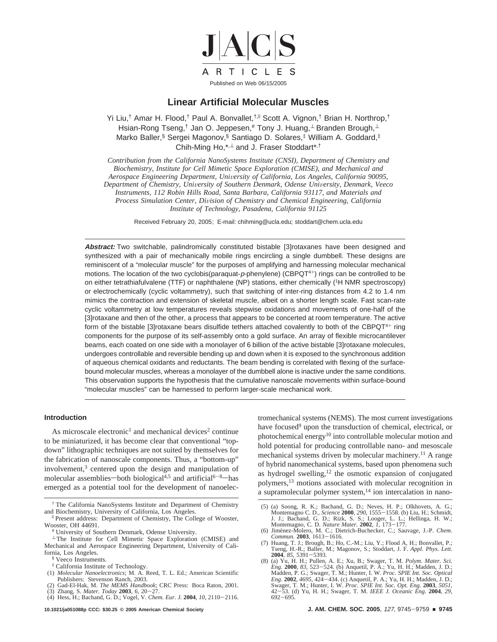

## **Linear Artificial Molecular Muscles**

Yi Liu,<sup>†</sup> Amar H. Flood,<sup>†</sup> Paul A. Bonvallet,<sup>†,∥</sup> Scott A. Vignon,<sup>†</sup> Brian H. Northrop,<sup>†</sup> Hsian-Rong Tseng,<sup>†</sup> Jan O. Jeppesen,# Tony J. Huang,<sup>⊥</sup> Branden Brough,<sup>⊥</sup> Marko Baller,§ Sergei Magonov,§ Santiago D. Solares,‡ William A. Goddard,‡ Chih-Ming Ho,\*<sup>,⊥</sup> and J. Fraser Stoddart\*<sup>,†</sup>

*Contribution from the California NanoSystems Institute (CNSI), Department of Chemistry and Biochemistry, Institute for Cell Mimetic Space Exploration (CMISE), and Mechanical and Aerospace Engineering Department, Uni*V*ersity of California, Los Angeles, California 90095, Department of Chemistry, Uni*V*ersity of Southern Denmark, Odense Uni*V*ersity, Denmark, Veeco Instruments, 112 Robin Hills Road, Santa Barbara, California 93117, and Materials and Process Simulation Center, Di*V*ision of Chemistry and Chemical Engineering, California Institute of Technology, Pasadena, California 91125*

Received February 20, 2005; E-mail: chihming@ucla.edu; stoddart@chem.ucla.edu

**Abstract:** Two switchable, palindromically constituted bistable [3]rotaxanes have been designed and synthesized with a pair of mechanically mobile rings encircling a single dumbbell. These designs are reminiscent of a "molecular muscle" for the purposes of amplifying and harnessing molecular mechanical motions. The location of the two cyclobis(paraquat-p-phenylene) (CBPQT<sup>4+</sup>) rings can be controlled to be on either tetrathiafulvalene (TTF) or naphthalene (NP) stations, either chemically (1H NMR spectroscopy) or electrochemically (cyclic voltammetry), such that switching of inter-ring distances from 4.2 to 1.4 nm mimics the contraction and extension of skeletal muscle, albeit on a shorter length scale. Fast scan-rate cyclic voltammetry at low temperatures reveals stepwise oxidations and movements of one-half of the [3]rotaxane and then of the other, a process that appears to be concerted at room temperature. The active form of the bistable [3] rotaxane bears disulfide tethers attached covalently to both of the CBPQT<sup>4+</sup> ring components for the purpose of its self-assembly onto a gold surface. An array of flexible microcantilever beams, each coated on one side with a monolayer of 6 billion of the active bistable [3]rotaxane molecules, undergoes controllable and reversible bending up and down when it is exposed to the synchronous addition of aqueous chemical oxidants and reductants. The beam bending is correlated with flexing of the surfacebound molecular muscles, whereas a monolayer of the dumbbell alone is inactive under the same conditions. This observation supports the hypothesis that the cumulative nanoscale movements within surface-bound "molecular muscles" can be harnessed to perform larger-scale mechanical work.

## **Introduction**

As microscale electronic<sup>1</sup> and mechanical devices<sup>2</sup> continue to be miniaturized, it has become clear that conventional "topdown" lithographic techniques are not suited by themselves for the fabrication of nanoscale components. Thus, a "bottom-up" involvement, $3$  centered upon the design and manipulation of molecular assemblies—both biological<sup>4,5</sup> and artificial<sup>6-8</sup>—has emerged as a potential tool for the development of nanoelec-

- ‡ California Institute of Technology.
- (1) *Molecular Nanoelectronics*; M. A. Reed, T. L. Ed.; American Scientific Publishers: Stevenson Ranch, 2003.
- (2) Gad-El-Hak, M. *The MEMS Handbook*; CRC Press: Boca Raton, 2001.
- (3) Zhang, S. *Mater. Today* **<sup>2003</sup>**, *<sup>6</sup>*, 20-27. (4) Hess, H.; Bachand, G. D.; Vogel, V. *Chem. Eur. J.* **<sup>2004</sup>**, *<sup>10</sup>*, 2110-2116.

tromechanical systems (NEMS). The most current investigations have focused<sup>9</sup> upon the transduction of chemical, electrical, or photochemical energy<sup>10</sup> into controllable molecular motion and hold potential for producing controllable nano- and mesoscale mechanical systems driven by molecular machinery.11 A range of hybrid nanomechanical systems, based upon phenomena such as hydrogel swelling,<sup>12</sup> the osmotic expansion of conjugated polymers,13 motions associated with molecular recognition in a supramolecular polymer system,<sup>14</sup> ion intercalation in nano-

<sup>†</sup> The California NanoSystems Institute and Department of Chemistry

<sup>&</sup>lt;sup>Il</sup> Present address: Department of Chemistry, The College of Wooster, Wooster, OH 44691.<br>
# University of Southern Denmark, Odense University.

<sup>⊥</sup> The Institute for Cell Mimetic Space Exploration (CMISE) and Mechanical and Aerospace Engineering Department, University of California, Los Angeles.

<sup>§</sup> Veeco Instruments.

<sup>(5) (</sup>a) Soong, R. K.; Bachand, G. D.; Neves, H. P.; Olkhovets, A. G.; Montemagno C. D., *Science* **2000**, 290, 1555–1558. (b) Liu, H.; Schmidt, J. J.; Bachand, G. D.; Rizk, S. S.; Looger, L. L.; Hellinga, H. W.; Montemagn

<sup>(6)</sup> Jiménez-Molero, M. C.; Dietrich-Buchecker, C.; Sauvage, J.-P. *Chem.*<br>Commun. 2003, 1613-1616. *Commun.* **<sup>2003</sup>**, 1613-1616. (7) Huang, T. J.; Brough, B.; Ho, C.-M.; Liu, Y.; Flood A, H.; Bonvallet, P.;

Tseng, H.-R.; Baller, M.; Magonov, S.; Stoddart, J. F. *Appl. Phys. Lett*.

**<sup>2004</sup>**, *<sup>85</sup>*, 5391-5393. (8) (a) Yu, H. H.; Pullen, A. E.; Xu, B.; Swager, T. M. *Polym. Mater. Sci. Eng.* **<sup>2000</sup>**, *<sup>83</sup>*, 523-524. (b) Anquetil, P. A.; Yu, H. H.; Madden, J. D.; Madden, P. G.; Swager, T. M.; Hunter, I. W. *Proc. SPIE Int. Soc. Optical Eng.* **2002**, 4695, 424–434. (c) Anquetil, P. A.; Yu, H. H.; Madden, J. D.; Swager, T. M.; Hunter, I. W. *Proc. SPIE Int. Soc. Opt. Eng.* **2003**, 5051, 42–53. (d) Yu, H. H.; Swager, T. M. *IEEE J. Oceanic Eng.* **2004**, 29 <sup>692</sup>-695.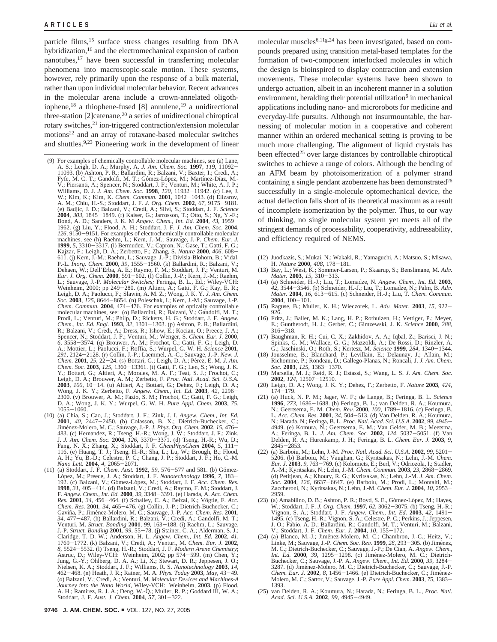particle films,<sup>15</sup> surface stress changes resulting from DNA hybridization,16 and the electromechanical expansion of carbon nanotubes,<sup>17</sup> have been successful in transferring molecular phenomena into macroscopic-scale motion. These systems, however, rely primarily upon the response of a bulk material, rather than upon individual molecular behavior. Recent advances in the molecular arena include a crown-annelated oligothiophene,<sup>18</sup> a thiophene-fused [8] annulene,<sup>19</sup> a unidirectional three-station [2]catenane,20 a series of unidirectional chiroptical rotary switches,<sup>21</sup> ion-triggered contraction/extension molecular motions22 and an array of rotaxane-based molecular switches and shuttles.9,23 Pioneering work in the development of linear

- (9) For examples of chemically controllable molecular machines, see (a) Lane, A. S.; Leigh, D. A.; Murphy, A. *J. Am. Chem. Soc.* **<sup>1997</sup>**, *<sup>119</sup>*, 11092- 11093. (b) Ashton, P. R.; Ballardini, R.; Balzani, V.; Baxter, I.; Credi, A.; Fyfe, M. C. T.; Gandolfi, M. T.; Gómez-López, M.; Martínez-Díaz, M.-<br>V.; Piersanti, A.; Spencer, N.; Stoddart, J. F.; Venturi, M.; White, A. J. P.; Williams, D. J. J. Am. Chem. Soc. 1998, 120, 11932–11942. (c) Lee, J.<br>W.; (e) Badjic, J. D.; Balzani, V.; Credi, A.; Silvi, S.; Stoddart, J. F. *Science* **2004**, *303*, 1845–1849. (f) Kaiser, G.; Jarrosson, T.; Otto, S.; Ng, Y.-F.; Bond, A. D.; Sanders, J. K. M *Angew. Chem., Int. Ed.* **2004**, 43, 1959–1962. (g) Liu, Y.; Flood, A. H.; Stoddart, J. F. *J. Am. Chem. Soc.* **20** *<sup>126</sup>*, 9150-9151. For examples of electrochemically controllable molecular machines, see (h) Raehm, L.; Kern, J.-M.; Sauvage, J.-P. *Chem. Eur. J.* **1999**, 5, 3310–3317. (i) Bermudez, V.; Capron, N.; Gase, T.; Gatti, F. G.; Kajzar, F.; Leigh, D. A.; Zerbetto, F.; Zhang, S. *Nature* **2000**, 406, 608–611. (j) Kern, J.-M.; Raehm, L.; Sauvage, J.-P.; Divisia-Blohorn, B.; Dehaen, W.; Dell'Erba, A. E.; Raymo, F. M.; Stoddart, J. F.; Venturi, M. *Eur. J. Org. Chem.* **<sup>2000</sup>**, 591-602. (l) Collin, J.-P.; Kern, J.-M.; Raehm, L.; Sauvage, J.-P. *Molecular Switches;* Feringa, B. L., Ed.; Wiley-VCH: Weinheim, 2000; pp 249–280. (m) Altieri, A.; Gatti, F. G.; Kay, E. R.; Leigh, D. A.; Paolucci, F.; Slawin, A. M. Z.; Wong, J. K. Y. J. Am. Chem. Soc. 2003, 125, 8644–8654. (n) Poleschak, I.; Kern, J.-M.; Sauvage, J.-P. Ch molecular machines, see: (o) Ballardini, R.; Balzani, V.; Gandolfi, M. T.; Prodi, L.; Venturi, M.; Philp, D.; Ricketts, H. G.; Stoddart, J. F. *Angew.* Chem., Int. Ed. Engl. 1993, 32, 1301–1303. (p) Ashton, P. R.; Ballardini, R.; Balzarni, V.; Credi, A.; Dress, R.; Ishow, E.; Kocian, O.; Preece, J. A.; Sociality, S.; Sociality, S.; Sociality, S.; Sociality, S.; Sociality, *Chem.* **2001**, *25*, 22–24. (s) Bottari, G.; Leigh, D. A.; Pérez, E. M. *J. Am. Chem. Soc.* **2003**, *125*, 1360–13361. (t) Gatti, F. G.; Len, S.; Wong, J. K. Chem. Soc. 2003, 125, 1360–13361. (t) Gatti, F. G.; Len, S.; Wong, J. K.<br>Y.; Bottari, G.; Altieri, A.; Morales, M. A. F.; Teat, S. J.; Frochot, C.; Leigh, D. A.; Brouwer, A. M.; Zerbetto, F. Proc. Natl. Acad. Sci. U.S.A. **<sup>2003</sup>**, *<sup>100</sup>*, 10-14. (u) Altieri, A.; Bottari, G.; Dehez, F.; Leigh, D. A.; Wong, J. K. Y.; Zerbetto, F. *Angew. Chem., Int. Ed.* **2003**,  $\bar{4}2$ , 2296–2300. (v) Brouwer, A. M.; Fazio, S. M.; Frochot, C.; Gatti, F. G.; Leigh, D. A.; Wong, J. K. Y.; Wurpel, G. W. H. *Pure Appl. Chem.* **2003**, 75,
- (10) (a) Chia, S.; Cao, J.; Stoddart, J. F.; Zink, J. I. Angew. Chem., Int. Ed. 2001, 40, 2447–2450. (b) Colasson, B. X.; Dietrich-Buchecker, C.; Jiménez-Molero, M. C.; Sauwage, J.-P. J. Phys. Org. Chem. 2002, 15, 476–483
- J. J. Am. Chem. Soc. 2004, 126, 3370–3371. (d) Tseng, H.-R.; Wu, D.;<br>Fang, N. X.; Zhang, X.; Stoddart, J. F. ChemPhysChem 2004, 5, 111–<br>116. (e) Huang, T. J.; Tseng, H.-R.; Sha, L.; Lu, W.; Brough, B.; Flood,<br>A. H.; Yu, B. *Chem. Res.* **<sup>2001</sup>**, *<sup>34</sup>*, 465-476. (g) Collin, J.-P.; Dietrich-Buchecker, C.; Gavin˜a, P.; Jime´nez-Molero, M. C.; Sauvage, J.-P. *Acc. Chem. Res.* **2001**, 34, 477–487. (h) Ballardini, R.; Balzani, V.; Credi, A.; Gandolfi, M. T.; Venturi, M. *Struct. Bonding* 2001, 99, 163–188. (i) Raehm, L.; Sauvage, J. P. *Struct. Bonding* 2001, 99, 153–188. (i) Raehm, L.; Sauvage, J. P. *S* Claridge, T. D. W.; Anderson, H. L. *Angew. Chem., Int. Ed.* **2002**, *41*, 1769–1772. (k) Balzani, V.; Credi, A.; Venturi, M. Chem. Eur. J. **2002**, 8, 5524–5532. (1) Tseng, H.-R.; Stoddart, J. F. *Modern Arene Chemistry*; Astruc, D.; Wiley-VCH: Weinheim, 2002; pp 574–599. (m) Chen, Y.; Jung, G.-Y <sup>462</sup>-468. (n) Heath, J. R.; Ratner, M. A. *Phys. Today* **<sup>2003</sup>**, *May*, 43-49. (o) Balzani, V.; Credi, A.; Venturi, M. *Molecular De*V*ices and Machines-A Journey into the Nano World*, Wiley-VCH: Weinheim, **2003**. (p) Flood, A. H.; Ramirez, R. J. A.; Deng, W.-Q.; Muller, R. P.; Goddard III, W. A.; Stoddart, J. F. *Aust. J. Chem.* **<sup>2004</sup>**, *<sup>57</sup>*, 301-322.

molecular muscles6,11g,24 has been investigated, based on compounds prepared using transition metal-based templates for the formation of two-component interlocked molecules in which the design is bioinspired to display contraction and extension movements. These molecular systems have been shown to undergo actuation, albeit in an incoherent manner in a solution environment, heralding their potential utilization<sup> $6$ </sup> in mechanical applications including nano- and microrobots for medicine and everyday-life pursuits. Although not insurmountable, the harnessing of molecular motion in a cooperative and coherent manner within an ordered mechanical setting is proving to be much more challenging. The alignment of liquid crystals has been effected<sup>25</sup> over large distances by controllable chiroptical switches to achieve a range of colors. Although the bending of an AFM beam by photoisomerization of a polymer strand containing a single pendant azobenzene has been demonstrated $26$ successfully in a single-molecule optomechanical device, the actual deflection falls short of its theoretical maximum as a result of incomplete isomerization by the polymer. Thus, to our way of thinking, no single molecular system yet meets all of the stringent demands of processability, cooperativity, addressability, and efficiency required of NEMS.

- (12) Juodkazis, S.; Mukai, N.; Wakaki, R.; Yamaguchi, A.; Matsuo, S.; Misawa,
- H. *Nature* **<sup>2000</sup>**, *<sup>408</sup>*, 178-181. (13) Bay, L.; West, K.; Sommer-Larsen, P.; Skaarup, S.; Benslimane, M. *Ad*V*. Mater.* **<sup>2003</sup>**, *<sup>15</sup>*, 310-313.
- (14) (a) Schneider, H.-J.; Liu, T.; Lomadze, N. *Angew. Chem., Int. Ed.* **2003**, *<sup>42</sup>*, 3544-3546. (b) Schneider, H.-J.; Liu, T.; Lomadze, N.; Palm, B. *Ad*V*. Mater.* **<sup>2004</sup>**, *<sup>16</sup>*, 613-615. (c) Schneider, H.-J.; Liu, T. *Chem. Commun.*
- **<sup>2004</sup>**, 100-101. (15) Raguse, B.; Muller, K. H.; Wieczorek, L. *Ad*V*. Mater.* **<sup>2003</sup>**, *<sup>15</sup>*, 922- 926.
- (16) Fritz, J.; Baller, M. K.; Lang, H. P.; Rothuizen, H.; Vettiger, P.; Meyer, E.; Guntherodt, H. J.; Gerber, C.; Gimzewski, J. K. *Science* **2000**, *288*,
- 316–318.<br>
(17) Baughman, R. H.; Cui, C. X.; Zakhidov, A. A.; Iqbal, Z.; Barisci, J. N.;<br>
Spinks, G. M.; Wallace, G. G.; Mazzoldi, A.; De Rossi, D.; Rinzler, A.<br>
(5.; Jaschinski, O.; Roth, S.; Kertesz, M. Science 1999, 284,
- (18) Jousselme, B.; Blanchard, P.; Levillain, E.; Delaunay, J.; Allain, M.; Richomme, P.; Rondeau, D.; Gallego-Planas, N.; Roncali, J. *J. Am. Chem.*
- *Soc.* **2003**, *125*, 1363-1370.<br>
(19) Marsella, M. J.; Reid, R. J.; Estassi, S.; Wang, L. S. *J. Am. Chem. Soc.*<br> **2002**, *124*, 12507-12510.<br>
(20) Leigh, D. A.: Wong. J. K. Y.: Dehez. F.: Zerbetto. F. *Nature* **2003.** 42
- (20) Leigh, D. A.; Wong, J. K. Y.; Dehez, F.; Zerbetto, F. *Nature* **2003**, *424*,  $174 - 179.$
- (21) (a) Huck, N. P. M.; Jager, W. F.; de Lange, B.; Feringa, B. L. *Science* **<sup>1996</sup>**, *<sup>273</sup>*, 1686-1688. (b) Feringa, B. L.; van Delden, R. A.; Koumura, N.; Geertsema, E. M. *Chem. Rev.* **2000**, 100, 1789–1816. (c) Feringa, B.<br>L. *Acc. Chem. Res.* **2001**, 34, 504–513. (d) Van Delden, R. A.; Koumura, N.; Herada, N.; Feringa, B. L. *Proc. Natl. Acad. Sci. U.S.A.* **2002**, 99, 4949. (e) Komura, N.; Geertsema, E. M.; Van Gelder, M. B.; Meetsma, A.; Feringa, B. L. *J. Am. Chem. Soc.* **<sup>2002</sup>**, *<sup>124</sup>*, 5037-5051. (f) Van 2845 - 2853.<br>(22) (a) Barboiu, M.; Lehn, J. -M. *Proc. Natl. Acad. Sci. U.S.A.* **2002**, 99, 5201 -
- (22) (a) Barboiu, M.; Lehn, J.-M*. Proc. Natl. Acad. Sci. U.S.A.* **<sup>2002</sup>**, *<sup>99</sup>*, 5201- 5206. (b) Barboiu, M.; Vaughan, G.; Kyritsakas, N.; Lehn, J.-M. *Chem. Eur. J.* **2003**, 9, 763-769. (c) Kolomiets, E.; Berl, V.; Odriozola, I.; Stadler, A.-M.; Kyritsakas, N.; Lehn, J.-M. Chem. Commun. **2003**, 23, 2868–2869. A.-M.; Kyritsakas, N.; Lehn, J.-M. *Chem. Commun.* **2003**, 23, 2868–2869.<br>(d) Petitjean, A.; Khoury, R. G.; Kyritsakas, N.; Lehn, J.-M. *J. Am. Chem.*<br>Soc. **2004**, *126*, 6637–6647. (e) Barboiu, M.; Prodi, L.; Montalti, M. Zaccheroni, N.; Kyritsakas, N.; Lehn, J.-M. *Chem. Eur. J*. **<sup>2004</sup>**, *<sup>10</sup>*, 2953- 2959.
- (23) (a) Amabilino, D. B.; Ashton, P. R.; Boyd, S. E., Gómez-López, M.; Hayes, W.; Stoddart, J. F. J. Org. Chem. **1997**, 62, 3062–3075. (b) Tseng, H.-R.; Vignon, S. A.; Stoddart, J. F. *Angew. Chem., Int. Ed.* **2003**, 42, 1491–1495. (c) Tseng, H.-R.; Vignon, S. A.; Celestre, P. C.; Perkins, J.; Jeppe V.; Stoddart, J. F. *Chem. Eur. J.* **<sup>2004</sup>**, *<sup>10</sup>*, 155-172.
- $(24)$  (a) Blanco, M.-J.; Jiménez-Molero, M. C.; Chambron, J.-C.; Heitz, V.; Linke, M.; Sauvage, J.-P. Chem. Soc. Rev. 1999, 28, 293–305. (b) Jiménez, Linke, M.; Sauvage, J.-P. Chem. Soc. Rev. 1999, 28, 293–305. (b) Jiménez, M. C.; Dietrich-Buchecker, C.; Sauvage, J.-P.; De Cian, A. Angew. Chem., Int. Ed. 2000, 39, 1295–1298. (c) Jiménez, Moto, C.; Dietrich-Buchecker, C. Buchecker, C.; Sauvage, J.-P. A. *Angew. Chem., Int. Ed.* 2000, 39, 3284–<br>3287. (d) Jiménez-Molero, M. C.; Dietrich-Buchecker, C.; Sauvage, J.-P. *Chem. Eur. J.* **<sup>2002</sup>**, *<sup>8</sup>*, 1456-1466. (e) Dietrich-Buchecker, C.; Jime´nez-Molero, M. C.; Sartor, V.; Sauvage, J.-P. *Pure Appl. Chem.* **<sup>2003</sup>**, *<sup>75</sup>*, 1383- 1393.
- (25) van Delden, R. A.; Koumura, N.; Harada, N.; Feringa, B. L., *Proc. Natl. Acad. Sci. U.S.A.* **<sup>2002</sup>**, *<sup>99</sup>*, 4945-4949.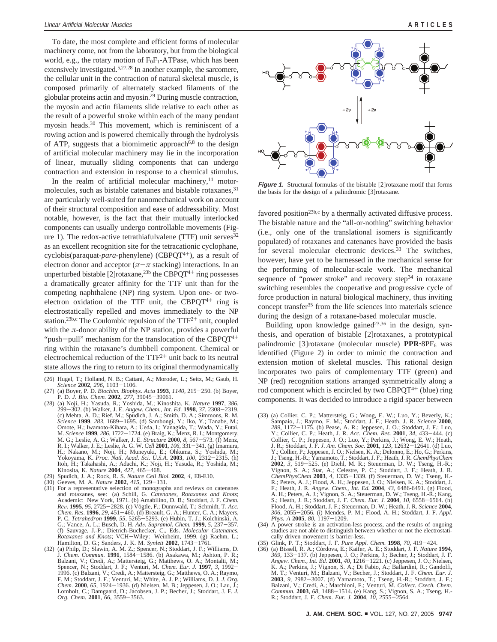To date, the most complete and efficient forms of molecular machinery come, not from the laboratory, but from the biological world, e.g., the rotary motion of  $F_0F_1$ -ATPase, which has been extensively investigated.<sup>5,27,28</sup> In another example, the sarcomere, the cellular unit in the contraction of natural skeletal muscle, is composed primarily of alternately stacked filaments of the globular proteins actin and myosin.29 During muscle contraction, the myosin and actin filaments slide relative to each other as the result of a powerful stroke within each of the many pendant myosin heads.<sup>30</sup> This movement, which is reminiscent of a rowing action and is powered chemically through the hydrolysis of ATP, suggests that a biomimetic approach $6,8$  to the design of artificial molecular machinery may lie in the incorporation of linear, mutually sliding components that can undergo contraction and extension in response to a chemical stimulus.

In the realm of artificial molecular machinery, $11$  motormolecules, such as bistable catenanes and bistable rotaxanes, <sup>31</sup> are particularly well-suited for nanomechanical work on account of their structural composition and ease of addressability. Most notable, however, is the fact that their mutually interlocked components can usually undergo controllable movements (Figure 1). The redox-active tetrathiafulvalene (TTF) unit serves<sup>32</sup> as an excellent recognition site for the tetracationic cyclophane, cyclobis(paraquat-*para*-phenylene) (CBPQT4+), as a result of electron donor and acceptor  $(π - π$  stacking) interactions. In an unperturbed bistable [2] rotaxane,<sup>23b</sup> the CBPQT<sup>4+</sup> ring possesses a dramatically greater affinity for the TTF unit than for the competing naphthalene (NP) ring system. Upon one- or twoelectron oxidation of the TTF unit, the CBPQT<sup>4+</sup> ring is electrostatically repelled and moves immediately to the NP station.<sup>23b,c</sup> The Coulombic repulsion of the  $TTF^{2+}$  unit, coupled with the *π*-donor ability of the NP station, provides a powerful "push-pull" mechanism for the translocation of the CBPQT<sup>4+</sup> ring within the rotaxane's dumbbell component. Chemical or electrochemical reduction of the TTF2<sup>+</sup> unit back to its neutral state allows the ring to return to its original thermodynamically

- (26) Hugel, T.; Holland, N. B.; Cattani, A.; Moroder, L.; Seitz, M.; Gaub, H.
- 
- Science 2002, 296, 1103-1106.<br>
(27) (a) Boyer, P. D. *Biochim. Biophys. Acta* 1993, 1140, 215-250. (b) Boyer, P. D. *J. Bio. Chem. 2002, 277*, 39045-39061.<br>
(28) (a) Noji, H.; Yasuda, R.; Yoshida, M.; Kinoshita, K. *Nature Science* **<sup>1999</sup>**, *<sup>283</sup>*, 1689-1695. (d) Sambongi, Y.; Iko, Y.; Tanabe, M.; Omote, H.; Iwamoto-Kihara, A.; Ueda, I.; Yanagida, T.; Wada, Y.; Futai, M. *Science* **1999**, 286, 1722–1724. (e) Braig, K.; Menz, R. I.; Montgomery, M. G.; Leslie, A. G.; Walker, J. E. *Structure* **2000**, 8, 567–573. (f) Menz, R. I.; Walker, J. E.; Leslie, A. G. W. *Cell* **2001**, *106*, 331–34 Itoh, H.; Takahashi, A.; Adachi, K.; Noji, H.; Yasuda, R.; Yoshida, M.; Kinosita, K. *Nature* **2004**, *427*, 465–468.<br>
(29) Spudich, J. A.; Rock, R. S. *Nature Cell Biol.* **2002**, *4*, E8-E10.<br>
(30) Geeves, M. A. *Nature* **2002**, *415*, 129-131.<br>
(31) For a representative selection of monograp
- 
- 
- (31) For a representative selection of monographs and reviews on catenanes and rotaxanes, see: (a) Schill, G. *Catenanes, Rotaxanes and Knots*; Academic: New York, 1971. (b) Amabilino, D. B.; Stoddart, J. F. *Chem.* Rev. 1995, 95, 2725–2828. (c) Vögtle, F.; Dunnwald, T.; Schmidt, T. Acc.<br>Chem. Res. 1996, 29, 451–460. (d) Breault, G. A.; Hunter, C. A.; Mayers, P. C. Tetrahedron 1999, 55, 5265–5293. (e) Hubin, T. J.; Kolchinski, A.<br>P. C G.; Vance, A. L.; Busch, D. H. Adv. Supramol. Chem. 1999, 5, 237–357.<br>(f) Sauvage, J.-P.; Dietrich-Buchecker, C., Eds. Molecular Catenanes, Rotaxanes and Knots; VCH-Wiley: Weinheim, 1999. (g) Raehm, L.;<br>Rotaxanes and Knots
- Hamilton, D. G.; Sanders, J. K. M. *Synlett* **2002**, 1743–1761.<br>
(32) (a) Philp, D.; Slawin, A. M. Z.; Spencer, N.; Stoddart, J. F.; Williams, D.<br>
J. Chem. Commun. **1991**, 1584–1586. (b) Asakawa, M.; Ashton, P. R.;<br>
Balzan Spencer, N.; Stoddart, J. F.; Venturi, M. *Chem. Eur. J.* **<sup>1997</sup>**, *<sup>3</sup>*, 1992- 1996. (c) Balzani, V.; Credi, A.; Mattersteig, G.; Matthews, O. A.; Raymo, F. M.; Stoddart, J. F.; Venturi, M.; White, A. J. P.; Williams, D. J. *J. Org. Chem.* **<sup>2000</sup>**, *<sup>65</sup>*, 1924-1936. (d) Nielsen, M. B.; Jeppesen, J. O.; Lau, J.; Lomholt, C.; Damgaard, D.; Jacobsen, J. P.; Becher, J.; Stoddart, J. F. *J. Org. Chem.* **<sup>2001</sup>**, *<sup>66</sup>*, 3559-3563.



**Figure 1.** Structural formulas of the bistable [2]rotaxane motif that forms the basis for the design of a palindromic [3]rotaxane.

favored position<sup>23b,c</sup> by a thermally activated diffusive process. The bistable nature and the "all-or-nothing" switching behavior (i.e., only one of the translational isomers is significantly populated) of rotaxanes and catenanes have provided the basis for several molecular electronic devices.<sup>33</sup> The switches, however, have yet to be harnessed in the mechanical sense for the performing of molecular-scale work. The mechanical sequence of "power stroke" and recovery step $34$  in rotaxane switching resembles the cooperative and progressive cycle of force production in natural biological machinery, thus inviting concept transfer<sup>35</sup> from the life sciences into materials science during the design of a rotaxane-based molecular muscle.

Building upon knowledge gained $2^{3,36}$  in the design, synthesis, and operation of bistable [2]rotaxanes, a prototypical palindromic [3]rotaxane (molecular muscle) **PPR**·8PF<sub>6</sub> was identified (Figure 2) in order to mimic the contraction and extension motion of skeletal muscles. This rational design incorporates two pairs of complementary TTF (green) and NP (red) recognition stations arranged symmetrically along a rod component which is encircled by two  $CBPQT^{4+}$  (blue) ring components. It was decided to introduce a rigid spacer between

- *Phys. A* **2005**, *80*, 1197–1209.<br>(34) A power stroke is an activation-less process, and the results of ongoing studies are not able to distinguish between whether or not the electrostatically driven movement is barrier-less.<br>(35) Glink, P. T.; Stoddart, J. F. Pure Appl. Chem. 1998, 70, 419-424.
- 
- (35) Glink, P. T.; Stoddart, J. F. *Pure Appl. Chem.* **<sup>1998</sup>**, *<sup>70</sup>*, 419-424. (36) (a) Bissell, R. A.; Co´rdova, E.; Kaifer, A. E.; Stoddart, J. F. *Nature* **1994**, *369*, 133-137. (b) suppesen, i.e., 134. India, 31, Becher, 31, Stoddard, S. T.; Angew. Chem., Int. Ed. 2001, 40, 1216–1221. (c) Jeppesen, J. O.; Nielsen, *Angew. Chem., Int. Ed.* **<sup>2001</sup>**, *<sup>40</sup>*, 1216-1221. (c) Jeppesen, J. O.; Nielsen, K. A.; Perkins, J.; Vignon, S. A.; Di Fabio, A.; Ballardini, R.; Gandolfi, M. T.; Venturi, M.; Balzani, V.; Becher, J.; Stoddart, J. F. *Chem. Eur. J.* **<sup>2003</sup>**, *<sup>9</sup>*, 2982-3007. (d) Yamamoto, T.; Tseng, H.-R.; Stoddart, J. F.; Balzani, V.; Credi, A.; Marchioni, F.; Venturi, M. *Collect. Czech. Chem. Commun.* **<sup>2003</sup>**, *<sup>68</sup>*, 1488-1514. (e) Kang, S.; Vignon, S. A.; Tseng, H.- R.; Stoddart, J. F. *Chem. Eur. J.* **<sup>2004</sup>**, *<sup>10</sup>*, 2555-2564.

<sup>(33) (</sup>a) Collier, C. P.; Mattersteig, G.; Wong, E. W.; Luo, Y.; Beverly, K.; Sampaio, J.; Raymo, F. M.; Stoddart, J. F.; Heath, J. R. *Science* **2000**, 289, 1172-1175. (b) Pease, A. R.; Jeppesen, J. O.; Stoddart, J. F.; Luo, Y.; Collier, C. P.; Heath, J. R. Acc. Chem. Res. 2001, 34, 433-444. (c) Y.; Collier, C. P.; Heath, J. R. *Acc. Chem. Res.* **<sup>2001</sup>**, *<sup>34</sup>*, 433-444. (c) Collier, C. P.; Jeppesen, J. O.; Luo, Y.; Perkins, J.; Wong, E. W.; Heath, J. R.; Stoddart, J. F. *J. Am. Chem. Soc.* 2001, 123, 12632–12641. (d) Luo,<br>Y.; Collier, P.; Jeppesen, J. O.; Nielsen, K. A.; DeIonno, E.; Ho, G.; Perkins,<br>J.; Tseng, H.-R.; Yamamoto, T.; Stoddart, J. F.; Heath, J. R. *Che* **2002**, 3, 519–525. (e) Diehl, M. R.; Steuerman, D. W.; Tseng, H.-R.; Vignon, S. A.; Star, A.; Celestre, P. C.; Stoddart, J. F.; Heath, J. R. ChemPhysChem **2003**, 4, 1335–1339. (f) Steuerman, D. W.; Tseng, H.-<br>ChemPhysChem A. H.; Peters, A. J.; Vignon, S. A.; Steuerman, D. W.; Tseng, H.-R.; Kang, S.; Heath, J. R.; Stoddart, J. F. *Chem. Eur. J.* **<sup>2004</sup>**, *<sup>10</sup>*, 6558-6564. (h) Flood, A. H.; Stoddart, J. F.; Steuerman, D. W.; Heath, J. R. *Science* **2004**, *<sup>306</sup>*, 2055-2056. (i) Mendes, P. M.; Flood, A. H.; Stoddart, J. F. *Appl.*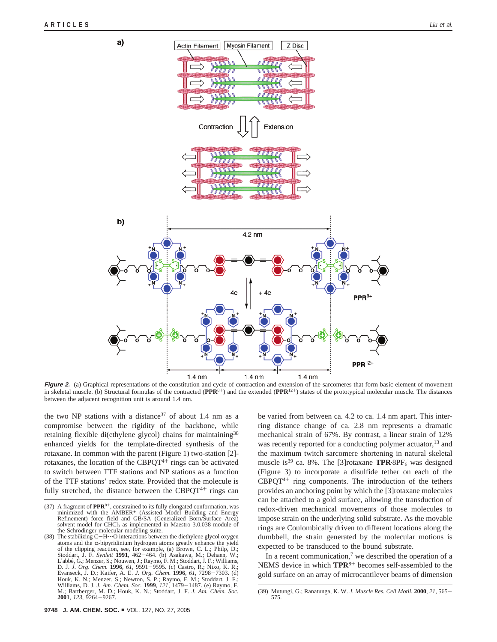

**Figure 2.** (a) Graphical representations of the constitution and cycle of contraction and extension of the sarcomeres that form basic element of movement in skeletal muscle. (b) Structural formulas of the contracted ( $\mathbf{PPR}^{8+}$ ) and the extended ( $\mathbf{PPR}^{12+}$ ) states of the prototypical molecular muscle. The distances between the adjacent recognition unit is around 1.4 nm.

the two NP stations with a distance  $37$  of about 1.4 nm as a compromise between the rigidity of the backbone, while retaining flexible di(ethylene glycol) chains for maintaining<sup>38</sup> enhanced yields for the template-directed synthesis of the rotaxane. In common with the parent (Figure 1) two-station [2] rotaxanes, the location of the CBPQT $4+$  rings can be activated to switch between TTF stations and NP stations as a function of the TTF stations' redox state. Provided that the molecule is fully stretched, the distance between the CBPQ $T^{4+}$  rings can

be varied from between ca. 4.2 to ca. 1.4 nm apart. This interring distance change of ca. 2.8 nm represents a dramatic mechanical strain of 67%. By contrast, a linear strain of 12% was recently reported for a conducting polymer actuator,<sup>13</sup> and the maximum twitch sarcomere shortening in natural skeletal muscle is<sup>39</sup> ca. 8%. The [3]rotaxane **TPR**·8PF<sub>6</sub> was designed (Figure 3) to incorporate a disulfide tether on each of the  $CBPQT^{4+}$  ring components. The introduction of the tethers provides an anchoring point by which the [3]rotaxane molecules can be attached to a gold surface, allowing the transduction of redox-driven mechanical movements of those molecules to impose strain on the underlying solid substrate. As the movable rings are Coulombically driven to different locations along the dumbbell, the strain generated by the molecular motions is expected to be transduced to the bound substrate.

In a recent communication, $\lambda$  we described the operation of a NEMS device in which **TPR**<sup>8</sup><sup>+</sup> becomes self-assembled to the gold surface on an array of microcantilever beams of dimension

<sup>(37)</sup> A fragment of **PPR**<sup>8</sup>+, constrained to its fully elongated conformation, was minimized with the AMBER\* (Assisted Model Building and Energy Refinement) force field and GB/SA (Generalized Born/Surface Area) solvent model for CHCl<sub>3</sub> as implemented in Maestro  $3.0.038$  module of the Schrödinger molecular modeling suite.

<sup>(38)</sup> The stabilizing C-H'''O interactions between the diethylene glycol oxygen atoms and the  $\alpha$ -bipyridinium hydrogen atoms greatly enhance the yield of the clipping reaction, see, for example, (a) Brown, C. L.; Philp, D.; Stoddart, J. F. Synlett 1991, 462-464, (b) Asakawa, M.; Dehaen, W.; Stoddart, J. F. *Synlett* **1991**, 462–464. (b) Asakawa, M.; Dehaen, W.; L'abbé, G.; Menzer, S.; Nouwen, J.; Raymo, F. M.; Stoddart, J. F.; Williams, D. J. *J. Org. Chem.* **<sup>1996</sup>**, *<sup>61</sup>*, 9591-9595. (c) Castro, R.; Nixo, K. R.; Evanseck, J. D.; Kaifer, A. E. *J. Org. Chem.* **<sup>1996</sup>**, *<sup>61</sup>*, 7298-7303. (d) Houk, K. N.; Menzer, S.; Newton, S. P.; Raymo, F. M.; Stoddart, J. F.; Williams, D. J. *J. Am. Chem. Soc.* **<sup>1999</sup>**, *<sup>121</sup>*, 1479-1487. (e) Raymo, F. M.; Bartberger, M. D.; Houk, K. N.; Stoddart, J. F. *J. Am. Chem. Soc.* **<sup>2001</sup>**, *<sup>123</sup>*, 9264-9267.

<sup>(39)</sup> Mutungi, G.; Ranatunga, K. W. *J. Muscle Res. Cell Motil.* **<sup>2000</sup>**, *<sup>21</sup>*, 565- 575.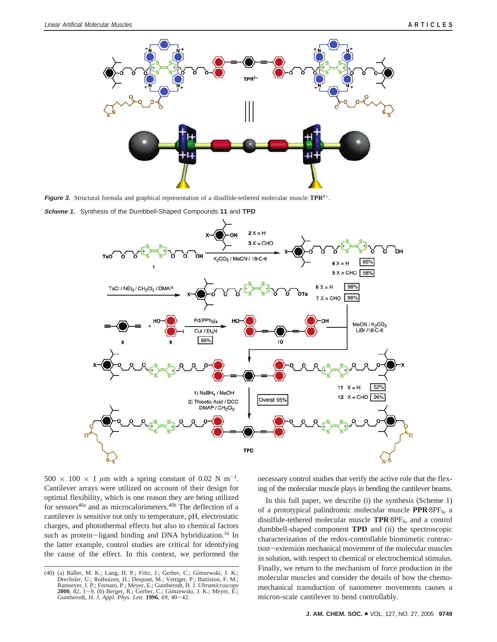

**Figure 3.** Structural formula and graphical representation of a disulfide-tethered molecular muscle **TPR**<sup>8</sup>+.





 $500 \times 100 \times 1 \mu m$  with a spring constant of 0.02 N m<sup>-1</sup>. Cantilever arrays were utilized on account of their design for optimal flexibility, which is one reason they are being utilized for sensors<sup>40a</sup> and as microcalorimeters.<sup>40b</sup> The deflection of a cantilever is sensitive not only to temperature, pH, electrostatic charges, and photothermal effects but also to chemical factors such as protein-ligand binding and DNA hybridization.<sup>16</sup> In the latter example, control studies are critical for identifying the cause of the effect. In this context, we performed the necessary control studies that verify the active role that the flexing of the molecular muscle plays in bending the cantilever beams.

In this full paper, we describe (i) the synthesis (Scheme 1) of a prototypical palindromic molecular muscle PPR·8PF<sub>6</sub>, a disulfide-tethered molecular muscle TPR<sup>.8PF</sup><sub>6</sub>, and a control dumbbell-shaped component **TPD** and (ii) the spectroscopic characterization of the redox-controllable biomimetic contraction-extension mechanical movement of the molecular muscles in solution, with respect to chemical or electrochemical stimulus. Finally, we return to the mechanism of force production in the molecular muscles and consider the details of how the chemomechanical transduction of nanometer movements causes a micron-scale cantilever to bend controllably.

<sup>(40) (</sup>a) Baller, M. K.; Lang, H. P.; Fritz, J.; Gerber, C.; Gimzewski, J. K.; Drechsler, U.; Rothuizen, H.; Despont, M.; Vettiger, P.; Battiston, F. M.; Ramseyer, J. P.; Fornaro, P.; Meyer, E.; Guntherodt, H. J. *Ultramicroscopy*<br>**2000**, *82*, 1–9. (b) Berger, R.; Gerber, C.; Gimzewski, J. K.; Meyer, E.;<br>Guntherodt, H. J. *Appl. Phys. Lett.* **1996**, *69*, 40–42.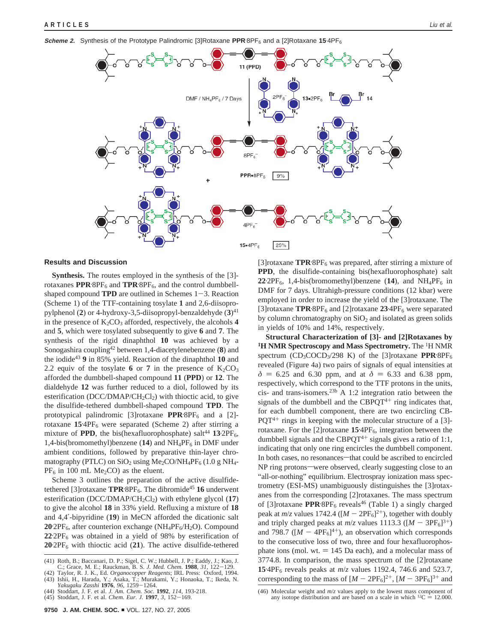**Scheme 2.** Synthesis of the Prototype Palindromic [3]Rotaxane PPR·8PF<sub>6</sub> and a [2]Rotaxane 15·4PF<sub>6</sub>



**Results and Discussion**

**Synthesis.** The routes employed in the synthesis of the [3] rotaxanes PPR·8PF<sub>6</sub> and TPR·8PF<sub>6</sub>, and the control dumbbellshaped compound **TPD** are outlined in Schemes  $1-3$ . Reaction (Scheme 1) of the TTF-containing tosylate **1** and 2,6-diisopropylphenol (**2**) or 4-hydroxy-3,5-diisopropyl-benzaldehyde (**3**)41 in the presence of  $K_2CO_3$  afforded, respectively, the alcohols 4 and **5**, which were tosylated subsequently to give **6** and **7**. The synthesis of the rigid dinaphthol **10** was achieved by a Sonogashira coupling42 between 1,4-diacetylenebenzene (**8**) and the iodide43 **9** in 85% yield. Reaction of the dinaphthol **10** and 2.2 equiv of the tosylate 6 or 7 in the presence of  $K_2CO_3$ afforded the dumbbell-shaped compound **11** (**PPD**) or **12**. The dialdehyde **12** was further reduced to a diol, followed by its esterification (DCC/DMAP/CH<sub>2</sub>Cl<sub>2</sub>) with thioctic acid, to give the disulfide-tethered dumbbell-shaped compound **TPD**. The prototypical palindromic [3]rotaxane **PPR**.8PF<sub>6</sub> and a [2]rotaxane **15.** 4PF6 were separated (Scheme 2) after stirring a mixture of **PPD**, the bis(hexafluorophosphate) salt<sup>44</sup> 13<sup>-2PF</sup><sub>6</sub>, 1,4-bis(bromomethyl)benzene  $(14)$  and  $NH<sub>4</sub>PF<sub>6</sub>$  in DMF under ambient conditions, followed by preparative thin-layer chromatography (PTLC) on  $SiO<sub>2</sub>$  using Me<sub>2</sub>CO/NH<sub>4</sub>PF<sub>6</sub> (1.0 g NH<sub>4</sub>- $PF_6$  in 100 mL Me<sub>2</sub>CO) as the eluent.

Scheme 3 outlines the preparation of the active disulfidetethered [3] rotaxane **TPR** 8PF<sub>6</sub>. The dibromide<sup>45</sup> **16** underwent esterification (DCC/DMAP/CH<sub>2</sub>Cl<sub>2</sub>) with ethylene glycol (17) to give the alcohol **18** in 33% yield. Refluxing a mixture of **18** and 4,4′-bipyridine (**19**) in MeCN afforded the dicationic salt 20<sup>.</sup>2PF<sub>6</sub>, after counterion exchange (NH<sub>4</sub>PF<sub>6</sub>/H<sub>2</sub>O). Compound **22.** 2PF6 was obtained in a yield of 98% by esterification of **20.** 2PF6 with thioctic acid (**21**). The active disulfide-tethered

[3]rotaxane TPR·8PF<sub>6</sub> was prepared, after stirring a mixture of **PPD**, the disulfide-containing bis(hexafluorophosphate) salt  $22.2PF_6$ , 1,4-bis(bromomethyl)benzene (14), and NH<sub>4</sub>PF<sub>6</sub> in DMF for 7 days. Ultrahigh-pressure conditions (12 kbar) were employed in order to increase the yield of the [3]rotaxane. The [3]rotaxane **TPR**<sup>8</sup>PF<sub>6</sub> and [2]rotaxane **23**<sup>-4PF</sup><sub>6</sub> were separated by column chromatography on  $SiO<sub>2</sub>$  and isolated as green solids in yields of 10% and 14%, respectively.

**Structural Characterization of [3]- and [2]Rotaxanes by 1H NMR Spectroscopy and Mass Spectrometry.** The 1H NMR spectrum (CD<sub>3</sub>COCD<sub>3</sub>/298 K) of the [3]rotaxane **PPR**.8PF<sub>6</sub> revealed (Figure 4a) two pairs of signals of equal intensities at  $\delta$  = 6.25 and 6.30 ppm, and at  $\delta$  = 6.33 and 6.38 ppm, respectively, which correspond to the TTF protons in the units, cis*-* and trans-isomers.23b A 1:2 integration ratio between the signals of the dumbbell and the CBPQ $T^{4+}$  ring indicates that, for each dumbbell component, there are two encircling CB- $PQT^{4+}$  rings in keeping with the molecular structure of a [3]rotaxane. For the [2]rotaxane 15<sup>.</sup>4PF<sub>6</sub>, integration between the dumbbell signals and the CBPQT<sup>4+</sup> signals gives a ratio of 1:1, indicating that only one ring encircles the dumbbell component. In both cases, no resonances—that could be ascribed to encircled NP ring protons-were observed, clearly suggesting close to an "all-or-nothing" equilibrium. Electrospray ionization mass spectrometry (ESI-MS) unambiguously distinguishes the [3]rotaxanes from the corresponding [2]rotaxanes. The mass spectrum of [3]rotaxane PPR·8PF<sub>6</sub> reveals<sup>46</sup> (Table 1) a singly charged peak at  $m/z$  values 1742.4 ( $[M - 2PF_6]^{2+}$ ), together with doubly and triply charged peaks at  $m/z$  values 1113.3 ( $[M - 3PF_6]^{3+}$ ) and 798.7 ( $[M - 4PF_6]^{4+}$ ), an observation which corresponds to the consecutive loss of two, three and four hexafluorophosphate ions (mol. wt.  $= 145$  Da each), and a molecular mass of 3774.8. In comparison, the mass spectrum of the [2]rotaxane **15.** 4PF6 reveals peaks at *m*/*z* values 1192.4, 746.6 and 523.7, corresponding to the mass of  $[M - 2PF_6]^{2+}$ ,  $[M - 3PF_6]^{3+}$  and

<sup>(41)</sup> Roth, B.; Baccanari, D. P.; Sigel, C. W.; Hubbell, J. P.; Eaddy, J.; Kao, J. C.; Grace, M. E.; Rauckman, B. S. J. Med. Chem. 1988, 31, 122-129. C.; Grace, M. E.; Rauckman, B. S. *J. Med. Chem.* **<sup>1988</sup>***, 31*, 122-129. (42) Taylor, R. J. K., Ed. *Organocopper Reagents*; IRL Press: Oxford, 1994.

<sup>(43)</sup> Ishii, H., Harada, Y.; Asaka, T.; Murakami, Y.; Honaoka, T.; Ikeda, N.

*Yakugaku Zasshi* **<sup>1976</sup>**, *<sup>96</sup>*, 1259-1264. (44) Stoddart, J. F. et al. *J. Am. Chem. Soc.* **1992**, *114*, 193-218.

<sup>(45)</sup> Stoddart, J. F. et al. *Chem. Eur. J.* **<sup>1997</sup>**, *<sup>3</sup>*, 152-169.

<sup>(46)</sup> Molecular weight and *m*/*z* values apply to the lowest mass component of any isotope distribution and are based on a scale in which <sup>12</sup>C  $=$  12.000.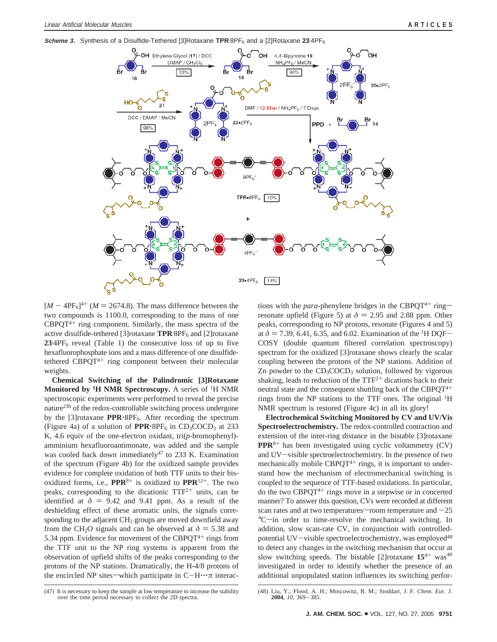**Scheme 3.** Synthesis of a Disulfide-Tethered [3]Rotaxane TPR.8PF<sub>6</sub> and a [2]Rotaxane 23.4PF<sub>6</sub>



 $[M - 4PF<sub>6</sub>]<sup>4+</sup>$  ( $M = 2674.8$ ). The mass difference between the two compounds is 1100.0, corresponding to the mass of one  $CBPQT<sup>4+</sup>$  ring component. Similarly, the mass spectra of the active disulfide-tethered [3]rotaxane **TPR**.8PF<sub>6</sub> and [2]rotaxane 23<sup>-4PF</sup><sub>6</sub> reveal (Table 1) the consecutive loss of up to five hexafluorophosphate ions and a mass difference of one disulfidetethered  $CBPQT^{4+}$  ring component between their molecular weights.

**Chemical Switching of the Palindromic [3]Rotaxane Monitored by 1H NMR Spectroscopy.** A series of 1H NMR spectroscopic experiments were performed to reveal the precise nature23b of the redox-controllable switching process undergone by the [3]rotaxane **PPR**'8PF<sub>6</sub>. After recording the spectrum (Figure 4a) of a solution of  $PPR \cdot 8PF_6$  in  $CD_3COCD_3$  at 233 K, 4.6 equiv of the one-electron oxidant, tri(*p*-bromophenyl) amminium hexafluoroantimonate, was added and the sample was cooled back down immediately<sup>47</sup> to 233 K. Examination of the spectrum (Figure 4b) for the oxidized sample provides evidence for complete oxidation of both TTF units to their bisoxidized forms, i.e.,  $PPR^{8+}$  is oxidized to  $PPR^{12+}$ . The two peaks, corresponding to the dicationic  $TTF^{2+}$  units, can be identified at  $\delta = 9.42$  and 9.41 ppm. As a result of the deshielding effect of these aromatic units, the signals corresponding to the adjacent  $CH<sub>2</sub>$  groups are moved downfield away from the CH<sub>2</sub>O signals and can be observed at  $\delta = 5.38$  and 5.34 ppm. Evidence for movement of the CBPQ $T^{4+}$  rings from the TTF unit to the NP ring systems is apparent from the observation of upfield shifts of the peaks corresponding to the protons of the NP stations. Dramatically, the H-4/8 protons of the encircled NP sites—which participate in  $C-H\cdots \pi$  interactions with the *para*-phenylene bridges in the CBPQT<sup>4+</sup> ringresonate upfield (Figure 5) at  $\delta = 2.95$  and 2.88 ppm. Other peaks, corresponding to NP protons, resonate (Figures 4 and 5) at  $\delta$  = 7.39, 6.41, 6.35, and 6.02. Examination of the <sup>1</sup>H DQF-COSY (double quantum filtered correlation spectroscopy) spectrum for the oxidized [3]rotaxane shows clearly the scalar coupling between the protons of the NP stations. Addition of Zn powder to the  $CD_3COCD_3$  solution, followed by vigorous shaking, leads to reduction of the  $TTF^{2+}$  dications back to their neutral state and the consequent shuttling back of the CBPQ $T^{4+}$ rings from the NP stations to the TTF ones. The original 1H NMR spectrum is restored (Figure 4c) in all its glory!

**Electrochemical Switching Monitored by CV and UV/Vis Spectroelectrochemistry.** The redox-controlled contraction and extension of the inter-ring distance in the bistable [3]rotaxane **PPR**<sup>8</sup><sup>+</sup> has been investigated using cyclic voltammetry (CV) and UV-visible spectroelectrochemistry. In the presence of two mechanically mobile  $CBPQT^{4+}$  rings, it is important to understand how the mechanism of electromechanical switching is coupled to the sequence of TTF-based oxidations. In particular, do the two  $CBPQT^{4+}$  rings move in a stepwise or in concerted manner? To answer this question, CVs were recorded at different scan rates and at two temperatures—room temperature and  $-25$ <sup>o</sup>C—in order to time-resolve the mechanical switching. In addition, slow scan-rate CV, in conjunction with controlledpotential UV-visible spectroelectrochemistry, was employed<sup>48</sup> to detect any changes in the switching mechanism that occur at slow switching speeds. The bistable [2]rotaxane  $15^{4+}$  was<sup>48</sup> investigated in order to identify whether the presence of an additional unpopulated station influences its switching perfor-

<sup>(47)</sup> It is necessary to keep the sample at low temperature to increase the stability over the time period necessary to collect the 2D spectra.

<sup>(48)</sup> Liu, Y.; Flood, A. H.; Moscowitz, R. M.; Stoddart, J. F. *Chem. Eur. J.* **<sup>2004</sup>**, *<sup>10</sup>*, 369-385.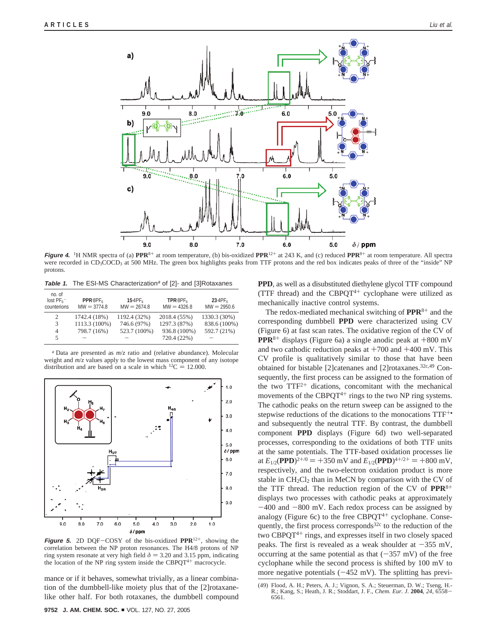

**Figure 4.** <sup>1</sup>H NMR spectra of (a) **PPR**<sup>8+</sup> at room temperature, (b) bis-oxidized **PPR**<sup>12+</sup> at 243 K, and (c) reduced **PPR**<sup>8+</sup> at room temperature. All spectra were recorded in CD<sub>3</sub>COCD<sub>3</sub> at 500 MHz. The green box highlights peaks from TTF protons and the red box indicates peaks of three of the "inside" NP protons.

**Table 1.** The ESI-MS Characterization<sup>a</sup> of [2]- and [3]Rotaxanes

| no. of<br>lost PF <sub>6</sub><br>counterions | PPR·8PF <sub>6</sub><br>$MW = 3774.8$ | 15.4PF <sub>6</sub><br>$MW = 2674.8$ | TPR·8PF <sub>6</sub><br>$MW = 4326.8$ | 23.4PF <sub>6</sub><br>$MW = 2950.6$ |
|-----------------------------------------------|---------------------------------------|--------------------------------------|---------------------------------------|--------------------------------------|
| 2                                             | 1742.4 (18%)                          | 1192.4 (32%)                         | 2018.4 (55%)                          | 1330.3 (30%)                         |
| 3                                             | 1113.3 (100%)                         | 746.6 (97%)                          | 1297.3 (87%)                          | 838.6 (100%)                         |
| $\overline{4}$                                | 798.7 (16%)                           | 523.7 (100%)                         | 936.8 (100%)                          | 592.7 (21%)                          |
| 5                                             |                                       |                                      | 720.4 (22%)                           |                                      |
|                                               |                                       |                                      |                                       |                                      |

*<sup>a</sup>* Data are presented as *m*/*z* ratio and (relative abundance). Molecular weight and *m*/*z* values apply to the lowest mass component of any isotope distribution and are based on a scale in which <sup>12</sup>C = 12.000.



**Figure 5.** 2D DQF-COSY of the bis-oxidized **PPR**<sup>12</sup>+, showing the correlation between the NP proton resonances. The H4/8 protons of NP ring system resonate at very high field  $\delta = 3.20$  and 3.15 ppm, indicating the location of the NP ring system inside the CBPQT<sup>4+</sup> macrocycle.

mance or if it behaves, somewhat trivially, as a linear combination of the dumbbell-like moiety plus that of the [2]rotaxanelike other half. For both rotaxanes, the dumbbell compound **PPD**, as well as a disubstituted diethylene glycol TTF compound (TTF thread) and the CBPQT<sup>4+</sup> cyclophane were utilized as mechanically inactive control systems.

The redox-mediated mechanical switching of **PPR**<sup>8</sup><sup>+</sup> and the corresponding dumbbell **PPD** were characterized using CV (Figure 6) at fast scan rates. The oxidative region of the CV of **PPR**<sup>8+</sup> displays (Figure 6a) a single anodic peak at  $+800$  mV and two cathodic reduction peaks at  $+700$  and  $+400$  mV. This CV profile is qualitatively similar to those that have been obtained for bistable [2]catenanes and [2]rotaxanes.32c,49 Consequently, the first process can be assigned to the formation of the two  $TTF^{2+}$  dications, concomitant with the mechanical movements of the CBPQT<sup>4+</sup> rings to the two NP ring systems. The cathodic peaks on the return sweep can be assigned to the stepwise reductions of the dications to the monocations  $TTF^{+}$ and subsequently the neutral TTF. By contrast, the dumbbell component **PPD** displays (Figure 6d) two well-separated processes, corresponding to the oxidations of both TTF units at the same potentials. The TTF-based oxidation processes lie at  $E_{1/2}(\text{PPD})^{2+/0} = +350 \text{ mV}$  and  $E_{1/2}(\text{PPD})^{4+/2+} = +800 \text{ mV}$ , respectively, and the two-electron oxidation product is more stable in  $CH_2Cl_2$  than in MeCN by comparison with the CV of the TTF thread. The reduction region of the CV of **PPR**<sup>8</sup><sup>+</sup> displays two processes with cathodic peaks at approximately -400 and -800 mV. Each redox process can be assigned by analogy (Figure 6c) to the free CBPQT $4+$  cyclophane. Consequently, the first process corresponds<sup>32c</sup> to the reduction of the two CBPQT<sup>4+</sup> rings, and expresses itself in two closely spaced peaks. The first is revealed as a weak shoulder at  $-355$  mV, occurring at the same potential as that  $(-357 \text{ mV})$  of the free cyclophane while the second process is shifted by 100 mV to more negative potentials  $(-452 \text{ mV})$ . The splitting has previ-

<sup>(49)</sup> Flood, A. H.; Peters, A. J.; Vignon, S. A.; Steuerman, D. W.; Tseng, H.- R.; Kang, S.; Heath, J. R.; Stoddart, J. F., *Chem. Eur. J.* **<sup>2004</sup>**, *<sup>24</sup>*, 6558- 6561.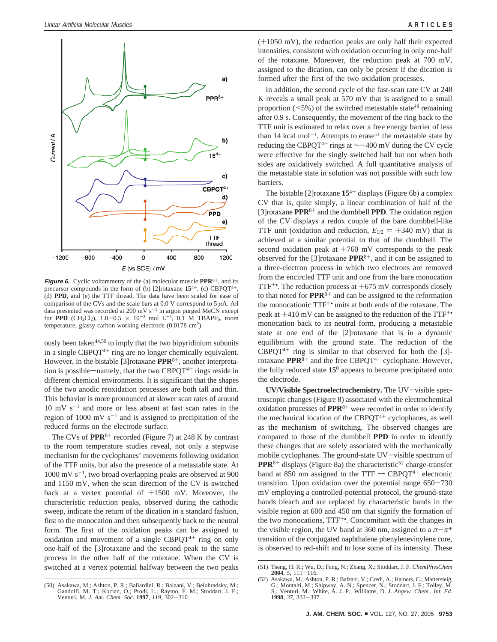

**Figure 6.** Cyclic voltammetry of the (a) molecular muscle **PPR**<sup>8+</sup>, and its precursor compounds in the form of (b) [2] rotaxane  $15^{4+}$ , (c) CBPQT<sup>4+</sup>, (d) **PPD**, and (e) the TTF thread. The data have been scaled for ease of comparison of the CVs and the scale bars at  $0.0$  V correspond to  $5 \mu A$ . All data presented was recorded at 200 mV  $s^{-1}$  in argon purged MeCN except for **PPD** (CH<sub>2</sub>Cl<sub>2</sub>),  $1.0-0.5 \times 10^{-3}$  mol L<sup>-1</sup>, 0.1 M TBAPF<sub>6</sub>, room temperature, glassy carbon working electrode (0.0178 cm2).

ously been taken<sup>44,50</sup> to imply that the two bipyridinium subunits in a single  $CBPQT^{4+}$  ring are no longer chemically equivalent. However, in the bistable [3] rotaxane **PPR**<sup>8+</sup>, another interpretation is possible—namely, that the two CBPQT $4+$  rings reside in different chemical environments. It is significant that the shapes of the two anodic reoxidation processes are both tall and thin. This behavior is more pronounced at slower scan rates of around  $10 \text{ mV s}^{-1}$  and more or less absent at fast scan rates in the region of 1000 mV  $s^{-1}$  and is assigned to precipitation of the reduced forms on the electrode surface.

The CVs of **PPR**<sup>8+</sup> recorded (Figure 7) at 248 K by contrast to the room temperature studies reveal, not only a stepwise mechanism for the cyclophanes' movements following oxidation of the TTF units, but also the presence of a metastable state. At  $1000 \text{ mV s}^{-1}$ , two broad overlapping peaks are observed at 900 and 1150 mV, when the scan direction of the CV is switched back at a vertex potential of  $+1500$  mV. Moreover, the characteristic reduction peaks, observed during the cathodic sweep, indicate the return of the dication in a standard fashion, first to the monocation and then subsequently back to the neutral form. The first of the oxidation peaks can be assigned to oxidation and movement of a single  $CBPQT^{4+}$  ring on only one-half of the [3]rotaxane and the second peak to the same process in the other half of the rotaxane. When the CV is switched at a vertex potential halfway between the two peaks

(+1050 mV), the reduction peaks are only half their expected intensities, consistent with oxidation occurring in only one-half of the rotaxane. Moreover, the reduction peak at 700 mV, assigned to the dication, can only be present if the dication is formed after the first of the two oxidation processes.

In addition, the second cycle of the fast-scan rate CV at 248 K reveals a small peak at 570 mV that is assigned to a small proportion  $(5\%)$  of the switched metastable state<sup>49</sup> remaining after 0.9 s. Consequently, the movement of the ring back to the TTF unit is estimated to relax over a free energy barrier of less than 14 kcal mol<sup>-1</sup>. Attempts to erase<sup>51</sup> the metastable state by reducing the CBPOT<sup>4+</sup> rings at  $\sim$  −400 mV during the CV cycle were effective for the singly switched half but not when both sides are oxidatively switched. A full quantitative analysis of the metastable state in solution was not possible with such low barriers.

The bistable [2]rotaxane **15**<sup>4</sup><sup>+</sup> displays (Figure 6b) a complex CV that is, quite simply, a linear combination of half of the [3]rotaxane **PPR**<sup>8</sup><sup>+</sup> and the dumbbell **PPD**. The oxidation region of the CV displays a redox couple of the bare dumbbell-like TTF unit (oxidation and reduction,  $E_{1/2} = +340$  mV) that is achieved at a similar potential to that of the dumbbell. The second oxidation peak at  $+760$  mV corresponds to the peak observed for the [3]rotaxane **PPR**<sup>8</sup>+, and it can be assigned to a three-electron process in which two electrons are removed from the encircled TTF unit and one from the bare monocation TTF<sup> $+$ </sup>. The reduction process at  $+675$  mV corresponds closely to that noted for **PPR**<sup>8</sup><sup>+</sup> and can be assigned to the reformation the monocationic TTF+• units at both ends of the rotaxane. The peak at  $+410$  mV can be assigned to the reduction of the TTF<sup>+•</sup> monocation back to its neutral form, producing a metastable state at one end of the [2]rotaxane that is in a dynamic equilibrium with the ground state. The reduction of the  $CBPQT^{4+}$  ring is similar to that observed for both the [3]rotaxane **PPR**<sup>8+</sup> and the free CBPQT<sup>4+</sup> cyclophane. However, the fully reduced state **15**<sup>0</sup> appears to become precipitated onto the electrode.

**UV/Visible Spectroelectrochemistry.** The UV-visible spectroscopic changes (Figure 8) associated with the electrochemical oxidation processes of **PPR**<sup>8</sup><sup>+</sup> were recorded in order to identify the mechanical location of the CBPQT $4+$  cyclophanes, as well as the mechanism of switching. The observed changes are compared to those of the dumbbell **PPD** in order to identify these changes that are solely associated with the mechanically mobile cyclophanes. The ground-state UV-visible spectrum of **PPR**<sup>8+</sup> displays (Figure 8a) the characteristic<sup>52</sup> charge-transfer band at 850 nm assigned to the TTF  $\rightarrow$  CBPQT<sup>4+</sup> electronic transition. Upon oxidation over the potential range 650-<sup>730</sup> mV employing a controlled-potential protocol, the ground-state bands bleach and are replaced by characteristic bands in the visible region at 600 and 450 nm that signify the formation of the two monocations, TTF+•. Concomitant with the changes in the visible region, the UV band at 360 nm, assigned to a  $\pi-\pi^*$ transition of the conjugated naphthalene phenylenevinylene core, is observed to red-shift and to lose some of its intensity. These

<sup>(50)</sup> Asakawa, M.; Ashton, P. R.; Ballardini, R.; Balzani, V.; Belohradsky, M.; Gandolfi, M. T.; Kocian, O.; Prodi, L.; Raymo, F. M.; Stoddart, J. F.; Venturi, M. *J. Am. Chem. Soc.* **<sup>1997</sup>**, *<sup>119</sup>*, 302-310.

<sup>(51)</sup> Tseng, H. R.; Wu, D.; Fang, N.; Zhang, X.; Stoddart, J. F. *ChemPhysChem* **<sup>2004</sup>**, *<sup>5</sup>*, 111-116. (52) Asakawa, M.; Ashton, P. R.; Balzani, V.; Credi, A.; Hamers, C.; Mattersteig,

G.; Montalti, M.; Shipway, A. N.; Spencer, N.; Stoddart, J. F.; Tolley, M. S.; Venturi, M.; White, A. J. P.; Williams, D. J. *Angew. Chem., Int. Ed.* **<sup>1998</sup>**, *<sup>37</sup>*, 333-337.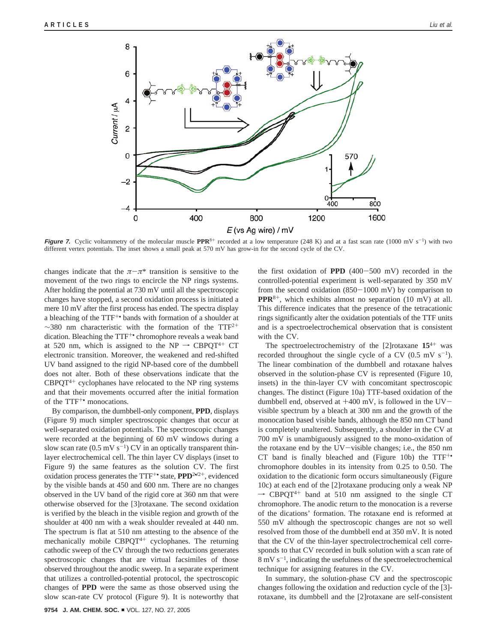

**Figure 7.** Cyclic voltammetry of the molecular muscle PPR<sup>8+</sup> recorded at a low temperature (248 K) and at a fast scan rate (1000 mV s<sup>-1</sup>) with two different vertex potentials. The inset shows a small peak at 570 mV has grow-in for the second cycle of the CV.

changes indicate that the  $\pi-\pi^*$  transition is sensitive to the movement of the two rings to encircle the NP rings systems. After holding the potential at 730 mV until all the spectroscopic changes have stopped, a second oxidation process is initiated a mere 10 mV after the first process has ended. The spectra display a bleaching of the TTF+• bands with formation of a shoulder at  $\sim$ 380 nm characteristic with the formation of the TTF<sup>2+</sup> dication. Bleaching the TTF<sup>+</sup> chromophore reveals a weak band at 520 nm, which is assigned to the NP  $\rightarrow$  CBPQT<sup>4+</sup> CT electronic transition. Moreover, the weakened and red-shifted UV band assigned to the rigid NP-based core of the dumbbell does not alter. Both of these observations indicate that the  $CBPQT^{4+}$  cyclophanes have relocated to the NP ring systems and that their movements occurred after the initial formation of the TTF<sup>+•</sup> monocations.

By comparison, the dumbbell-only component, **PPD**, displays (Figure 9) much simpler spectroscopic changes that occur at well-separated oxidation potentials. The spectroscopic changes were recorded at the beginning of 60 mV windows during a slow scan rate (0.5 mV  $s^{-1}$ ) CV in an optically transparent thinlayer electrochemical cell. The thin layer CV displays (inset to Figure 9) the same features as the solution CV. The first oxidation process generates the TTF+• state, **PPD**<sup>2</sup>•**/**2+, evidenced by the visible bands at 450 and 600 nm. There are no changes observed in the UV band of the rigid core at 360 nm that were otherwise observed for the [3]rotaxane. The second oxidation is verified by the bleach in the visible region and growth of the shoulder at 400 nm with a weak shoulder revealed at 440 nm. The spectrum is flat at 510 nm attesting to the absence of the mechanically mobile CBPQT<sup>4+</sup> cyclophanes. The returning cathodic sweep of the CV through the two reductions generates spectroscopic changes that are virtual facsimiles of those observed throughout the anodic sweep. In a separate experiment that utilizes a controlled-potential protocol, the spectroscopic changes of **PPD** were the same as those observed using the slow scan-rate CV protocol (Figure 9). It is noteworthy that the first oxidation of **PPD** (400-500 mV) recorded in the controlled-potential experiment is well-separated by 350 mV from the second oxidation  $(850-1000 \text{ mV})$  by comparison to **PPR**<sup>8</sup>+, which exhibits almost no separation (10 mV) at all. This difference indicates that the presence of the tetracationic rings significantly alter the oxidation potentials of the TTF units and is a spectroelectrochemical observation that is consistent with the CV.

The spectroelectrochemistry of the [2]rotaxane **15**<sup>4</sup><sup>+</sup> was recorded throughout the single cycle of a CV (0.5 mV  $s^{-1}$ ). The linear combination of the dumbbell and rotaxane halves observed in the solution-phase CV is represented (Figure 10, insets) in the thin-layer CV with concomitant spectroscopic changes. The distinct (Figure 10a) TTF-based oxidation of the dumbbell end, observed at  $+400$  mV, is followed in the UVvisible spectrum by a bleach at 300 nm and the growth of the monocation based visible bands, although the 850 nm CT band is completely unaltered. Subsequently, a shoulder in the CV at 700 mV is unambiguously assigned to the mono-oxidation of the rotaxane end by the UV-visible changes; i.e., the 850 nm CT band is finally bleached and (Figure 10b) the  $TTF^{+}$ chromophore doubles in its intensity from 0.25 to 0.50. The oxidation to the dicationic form occurs simultaneously (Figure 10c) at each end of the [2]rotaxane producing only a weak NP  $\rightarrow$  CBPQT<sup>4+</sup> band at 510 nm assigned to the single CT chromophore. The anodic return to the monocation is a reverse of the dications' formation. The rotaxane end is reformed at 550 mV although the spectroscopic changes are not so well resolved from those of the dumbbell end at 350 mV. It is noted that the CV of the thin-layer spectrolectrochemical cell corresponds to that CV recorded in bulk solution with a scan rate of  $8 \text{ mV s}^{-1}$ , indicating the usefulness of the spectroelectrochemical technique for assigning features in the CV.

In summary, the solution-phase CV and the spectroscopic changes following the oxidation and reduction cycle of the [3] rotaxane, its dumbbell and the [2]rotaxane are self-consistent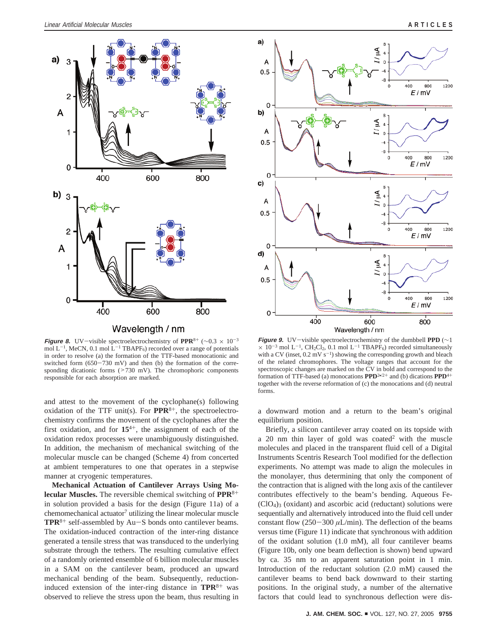

**Figure 8.** UV-visible spectroelectrochemistry of **PPR**<sup>8</sup><sup>+</sup> (∼0.3 <sup>×</sup> <sup>10</sup>-<sup>3</sup> mol  $L^{-1}$ , MeCN, 0.1 mol  $L^{-1}$  TBAPF<sub>6</sub>) recorded over a range of potentials in order to resolve (a) the formation of the TTF-based monocationic and switched form  $(650-730 \text{ mV})$  and then (b) the formation of the corresponding dicationic forms (>730 mV). The chromophoric components responsible for each absorption are marked.

and attest to the movement of the cyclophane(s) following oxidation of the TTF unit(s). For  $PPR^{8+}$ , the spectroelectrochemistry confirms the movement of the cyclophanes after the first oxidation, and for  $15^{4+}$ , the assignment of each of the oxidation redox processes were unambiguously distinguished. In addition, the mechanism of mechanical switching of the molecular muscle can be changed (Scheme 4) from concerted at ambient temperatures to one that operates in a stepwise manner at cryogenic temperatures.

**Mechanical Actuation of Cantilever Arrays Using Molecular Muscles.** The reversible chemical switching of **PPR**<sup>8</sup><sup>+</sup> in solution provided a basis for the design (Figure 11a) of a  $chemomechanical actuator<sup>7</sup> utilizing the linear molecular muscle$ **TPR**<sup>8</sup><sup>+</sup> self-assembled by Au-S bonds onto cantilever beams. The oxidation-induced contraction of the inter-ring distance generated a tensile stress that was transduced to the underlying substrate through the tethers. The resulting cumulative effect of a randomly oriented ensemble of 6 billion molecular muscles in a SAM on the cantilever beam, produced an upward mechanical bending of the beam. Subsequently, reductioninduced extension of the inter-ring distance in **TPR**<sup>8</sup><sup>+</sup> was observed to relieve the stress upon the beam, thus resulting in



**Figure 9.** UV-visible spectroelectrochemistry of the dumbbell **PPD** (∼1 × 10<sup>-3</sup> mol L<sup>-1</sup>, CH<sub>2</sub>Cl<sub>2</sub>, 0.1 mol L<sup>-1</sup> TBAPF<sub>6</sub>) recorded simultaneously with a CV (inset,  $0.2 \text{ mV s}^{-1}$ ) showing the corresponding growth and bleach of the related chromophores. The voltage ranges that account for the spectroscopic changes are marked on the CV in bold and correspond to the formation of TTF-based (a) monocations  $\mathbf{PPD}^{2\bullet/2+}$  and (b) dications  $\mathbf{PPD}^{4+}$ together with the reverse reformation of (c) the monocations and (d) neutral forms.

a downward motion and a return to the beam's original equilibrium position.

Briefly, a silicon cantilever array coated on its topside with a 20 nm thin layer of gold was coated<sup>2</sup> with the muscle molecules and placed in the transparent fluid cell of a Digital Instruments Scentris Research Tool modified for the deflection experiments. No attempt was made to align the molecules in the monolayer, thus determining that only the component of the contraction that is aligned with the long axis of the cantilever contributes effectively to the beam's bending. Aqueous Fe-  $(CIO<sub>4</sub>)<sub>3</sub>$  (oxidant) and ascorbic acid (reductant) solutions were sequentially and alternatively introduced into the fluid cell under constant flow  $(250-300 \,\mu L/min)$ . The deflection of the beams versus time (Figure 11) indicate that synchronous with addition of the oxidant solution (1.0 mM), all four cantilever beams (Figure 10b, only one beam deflection is shown) bend upward by ca. 35 nm to an apparent saturation point in 1 min. Introduction of the reductant solution (2.0 mM) caused the cantilever beams to bend back downward to their starting positions. In the original study, a number of the alternative factors that could lead to synchronous deflection were dis-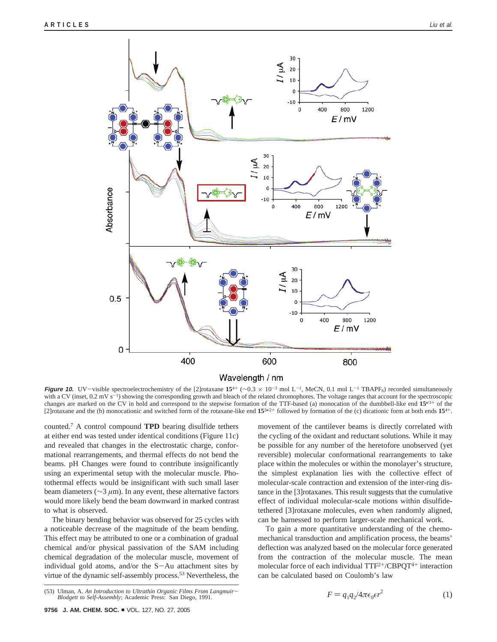

**Figure 10.** UV-visible spectroelectrochemistry of the [2]rotaxane  $15^{4+}$  ( $\sim 0.3 \times 10^{-3}$  mol L<sup>-1</sup>, MeCN, 0.1 mol L<sup>-1</sup> TBAPF<sub>6</sub>) recorded simultaneously with a CV (inset,  $0.2$  mV s<sup>-1</sup>) showing the corresponding growth and bleach of the related chromophores. The voltage ranges that account for the spectroscopic changes are marked on the CV in bold and correspond to the stepwise formation of the TTF-based (a) monocation of the dumbbell-like end **15**•/3<sup>+</sup> of the [2] rotaxane and the (b) monocationic and switched form of the rotaxane-like end  $15^{2n/2+}$  followed by formation of the (c) dicationic form at both ends  $15^{4+}$ .

counted.7 A control compound **TPD** bearing disulfide tethers at either end was tested under identical conditions (Figure 11c) and revealed that changes in the electrostatic charge, conformational rearrangements, and thermal effects do not bend the beams. pH Changes were found to contribute insignificantly using an experimental setup with the molecular muscle. Photothermal effects would be insignificant with such small laser beam diameters (∼3 *µ*m). In any event, these alternative factors would more likely bend the beam downward in marked contrast to what is observed.

The binary bending behavior was observed for 25 cycles with a noticeable decrease of the magnitude of the beam bending. This effect may be attributed to one or a combination of gradual chemical and/or physical passivation of the SAM including chemical degradation of the molecular muscle, movement of individual gold atoms, and/or the S-Au attachment sites by virtue of the dynamic self-assembly process.<sup>53</sup> Nevertheless, the movement of the cantilever beams is directly correlated with the cycling of the oxidant and reductant solutions. While it may be possible for any number of the heretofore unobserved (yet reversible) molecular conformational rearrangements to take place within the molecules or within the monolayer's structure, the simplest explanation lies with the collective effect of molecular-scale contraction and extension of the inter-ring distance in the [3]rotaxanes. This result suggests that the cumulative effect of individual molecular-scale motions within disulfidetethered [3]rotaxane molecules, even when randomly aligned, can be harnessed to perform larger-scale mechanical work.

To gain a more quantitative understanding of the chemomechanical transduction and amplification process, the beams' deflection was analyzed based on the molecular force generated from the contraction of the molecular muscle. The mean molecular force of each individual TTF2+/CBPQT4<sup>+</sup> interaction can be calculated based on Coulomb's law

$$
F = q_1 q_2 / 4\pi \epsilon_0 \epsilon r^2 \tag{1}
$$

<sup>(53)</sup> Ulman, A. *An Introduction to Ultrathin Organic Films From Langmuir*-*Blodgett to Self-Assembly*; Academic Press: San Diego, 1991.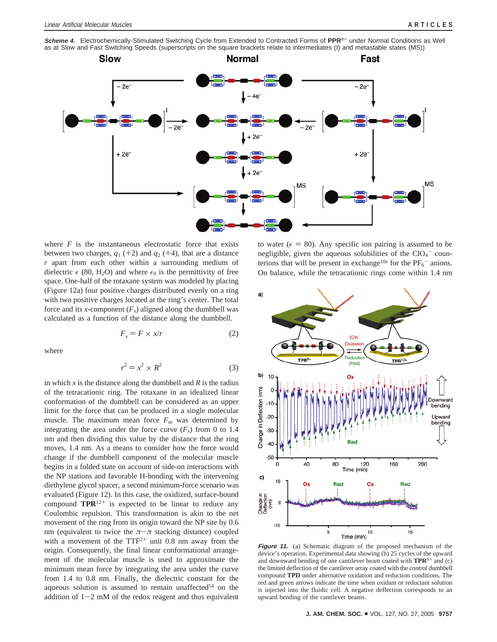**Scheme 4.** Electrochemically-Stimulated Switching Cycle from Extended to Contracted Forms of **PPR**<sup>8</sup><sup>+</sup> under Normal Conditions as Well as at Slow and Fast Switching Speeds (superscripts on the square brackets relate to intermediates (I) and metastable states (MS))



where  $F$  is the instantaneous electrostatic force that exists between two charges,  $q_1$  (+2) and  $q_2$  (+4), that are a distance *r* apart from each other within a surrounding medium of dielectric  $\epsilon$  (80, H<sub>2</sub>O) and where  $\epsilon_0$  is the permittivity of free space. One-half of the rotaxane system was modeled by placing (Figure 12a) four positive charges distributed evenly on a ring with two positive charges located at the ring's center. The total force and its *x*-component  $(F_x)$  aligned along the dumbbell was calculated as a function of the distance along the dumbbell.

$$
F_x = F \times x/r \tag{2}
$$

where

$$
r^2 = x^2 \times R^2 \tag{3}
$$

in which  $x$  is the distance along the dumbbell and  $R$  is the radius of the tetracationic ring. The rotaxane in an idealized linear conformation of the dumbbell can be considered as an upper limit for the force that can be produced in a single molecular muscle. The maximum mean force  $F<sub>m</sub>$  was determined by integrating the area under the force curve  $(F_x)$  from 0 to 1.4 nm and then dividing this value by the distance that the ring moves, 1.4 nm. As a means to consider how the force would change if the dumbbell component of the molecular muscle begins in a folded state on account of side-on interactions with the NP stations and favorable H-bonding with the intervening diethylene glycol spacer, a second minimum-force scenario was evaluated (Figure 12). In this case, the oxidized, surface-bound compound  $TPR^{12+}$  is expected to be linear to reduce any Coulombic repulsion. This transformation is akin to the net movement of the ring from its origin toward the NP site by 0.6 nm (equivalent to twice the  $\pi-\pi$  stacking distance) coupled with a movement of the  $TTF^{2+}$  unit 0.8 nm away from the origin. Consequently, the final linear conformational arrangement of the molecular muscle is used to approximate the minimum mean force by integrating the area under the curve from 1.4 to 0.8 nm. Finally, the dielectric constant for the aqueous solution is assumed to remain unaffected<sup>54</sup> on the addition of  $1-2$  mM of the redox reagent and thus equivalent

to water ( $\epsilon = 80$ ). Any specific ion pairing is assumed to be negligible, given the aqueous solubilities of the  $ClO<sub>4</sub>$  counterions that will be present in exchange<sup>10e</sup> for the  $PF_6^-$  anions. On balance, while the tetracationic rings come within 1.4 nm



**Figure 11.** (a) Schematic diagram of the proposed mechanism of the device's operation. Experimental data showing (b) 25 cycles of the upward and downward bending of one cantilever beam coated with **TPR**<sup>8</sup><sup>+</sup> and (c) the limited deflection of the cantilever array coated with the control dumbbell compound **TPD** under alternative oxidation and reduction conditions. The red and green arrows indicate the time when oxidant or reductant solution is injected into the fluidic cell. A negative deflection corresponds to an upward bending of the cantilever beams.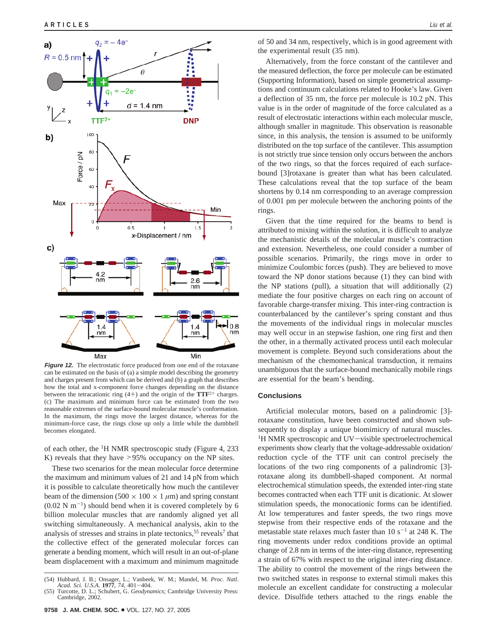

**Figure 12.** The electrostatic force produced from one end of the rotaxane can be estimated on the basis of (a) a simple model describing the geometry and charges present from which can be derived and (b) a graph that describes how the total and x-component force changes depending on the distance between the tetracationic ring  $(4+)$  and the origin of the  $TTF^{2+}$  charges. (c) The maximum and minimum force can be estimated from the two reasonable extremes of the surface-bound molecular muscle's conformation. In the maximum, the rings move the largest distance, whereas for the minimum-force case, the rings close up only a little while the dumbbell becomes elongated.

of each other, the  ${}^{1}$ H NMR spectroscopic study (Figure 4, 233) K) reveals that they have  $> 95\%$  occupancy on the NP sites.

These two scenarios for the mean molecular force determine the maximum and minimum values of 21 and 14 pN from which it is possible to calculate theoretically how much the cantilever beam of the dimension  $(500 \times 100 \times 1 \mu m)$  and spring constant  $(0.02 \text{ N m}^{-1})$  should bend when it is covered completely by 6 billion molecular muscles that are randomly aligned yet all switching simultaneously. A mechanical analysis, akin to the analysis of stresses and strains in plate tectonics,<sup>55</sup> reveals<sup>7</sup> that the collective effect of the generated molecular forces can generate a bending moment, which will result in an out-of-plane beam displacement with a maximum and minimum magnitude

of 50 and 34 nm, respectively, which is in good agreement with the experimental result (35 nm).

Alternatively, from the force constant of the cantilever and the measured deflection, the force per molecule can be estimated (Supporting Information), based on simple geometrical assumptions and continuum calculations related to Hooke's law. Given a deflection of 35 nm, the force per molecule is 10.2 pN. This value is in the order of magnitude of the force calculated as a result of electrostatic interactions within each molecular muscle, although smaller in magnitude. This observation is reasonable since, in this analysis, the tension is assumed to be uniformly distributed on the top surface of the cantilever. This assumption is not strictly true since tension only occurs between the anchors of the two rings, so that the forces required of each surfacebound [3]rotaxane is greater than what has been calculated. These calculations reveal that the top surface of the beam shortens by 0.14 nm corresponding to an average compression of 0.001 pm per molecule between the anchoring points of the rings.

Given that the time required for the beams to bend is attributed to mixing within the solution, it is difficult to analyze the mechanistic details of the molecular muscle's contraction and extension. Nevertheless, one could consider a number of possible scenarios. Primarily, the rings move in order to minimize Coulombic forces (push). They are believed to move toward the NP donor stations because (1) they can bind with the NP stations (pull), a situation that will additionally (2) mediate the four positive charges on each ring on account of favorable charge-transfer mixing. This inter-ring contraction is counterbalanced by the cantilever's spring constant and thus the movements of the individual rings in molecular muscles may well occur in an stepwise fashion, one ring first and then the other, in a thermally activated process until each molecular movement is complete. Beyond such considerations about the mechanism of the chemomechanical transduction, it remains unambiguous that the surface-bound mechanically mobile rings are essential for the beam's bending.

## **Conclusions**

Artificial molecular motors, based on a palindromic [3] rotaxane constitution, have been constructed and shown subsequently to display a unique biomimicry of natural muscles. <sup>1</sup>H NMR spectroscopic and UV-visible spectroelectrochemical experiments show clearly that the voltage-addressable oxidation/ reduction cycle of the TTF unit can control precisely the locations of the two ring components of a palindromic [3] rotaxane along its dumbbell-shaped component. At normal electrochemical stimulation speeds, the extended inter-ring state becomes contracted when each TTF unit is dicationic. At slower stimulation speeds, the monocationic forms can be identified. At low temperatures and faster speeds, the two rings move stepwise from their respective ends of the rotaxane and the metastable state relaxes much faster than  $10 s^{-1}$  at 248 K. The ring movements under redox conditions provide an optimal change of 2.8 nm in terms of the inter-ring distance, representing a strain of 67% with respect to the original inter-ring distance. The ability to control the movement of the rings between the two switched states in response to external stimuli makes this molecule an excellent candidate for constructing a molecular device. Disulfide tethers attached to the rings enable the

<sup>(54)</sup> Hubbard, J. B.; Onsager, L.; Vanbeek, W. M.; Mandel, M. *Proc. Natl. Acad. Sci. U.S.A.* **<sup>1977</sup>**, *<sup>74</sup>*, 401-404.

<sup>(55)</sup> Turcotte, D. L.; Schubert, G. *Geodynamics*; Cambridge University Press: Cambridge, 2002.